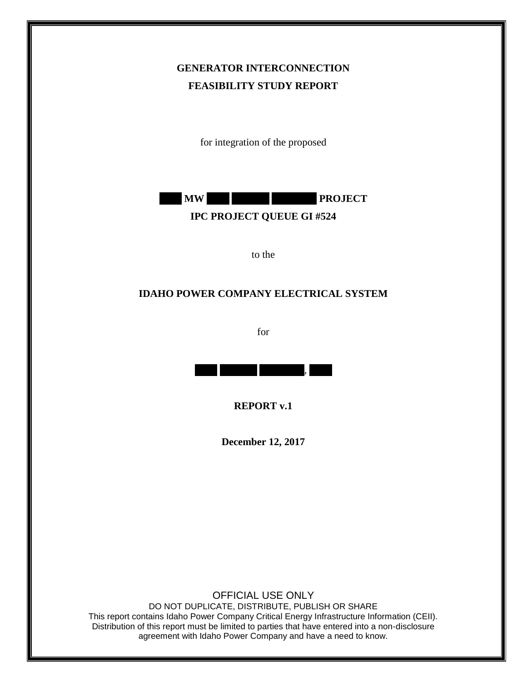## **GENERATOR INTERCONNECTION FEASIBILITY STUDY REPORT**

for integration of the proposed



to the

## **IDAHO POWER COMPANY ELECTRICAL SYSTEM**

for



**REPORT v.1**

**December 12, 2017**

OFFICIAL USE ONLY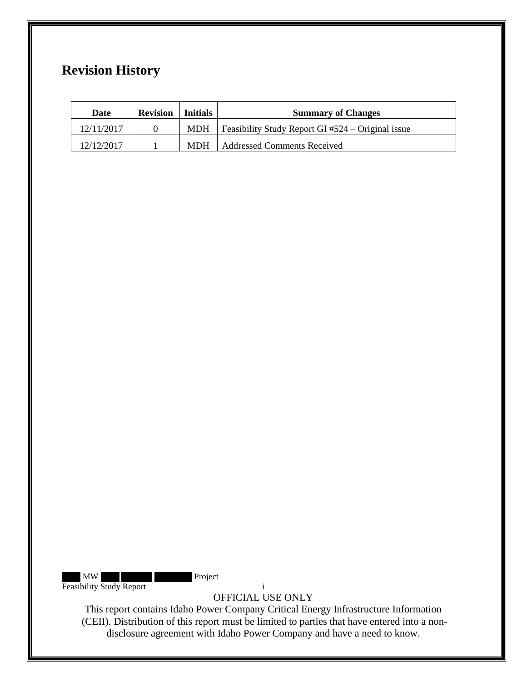# **Revision History**

| Date       | <b>Revision</b> | <b>Initials</b> | <b>Summary of Changes</b>                                 |
|------------|-----------------|-----------------|-----------------------------------------------------------|
| 12/11/2017 |                 |                 | MDH   Feasibility Study Report GI $#524 -$ Original issue |
| 12/12/2017 |                 |                 | MDH   Addressed Comments Received                         |

XXX XXX XXX Project Feasibility Study Report i

OFFICIAL USE ONLY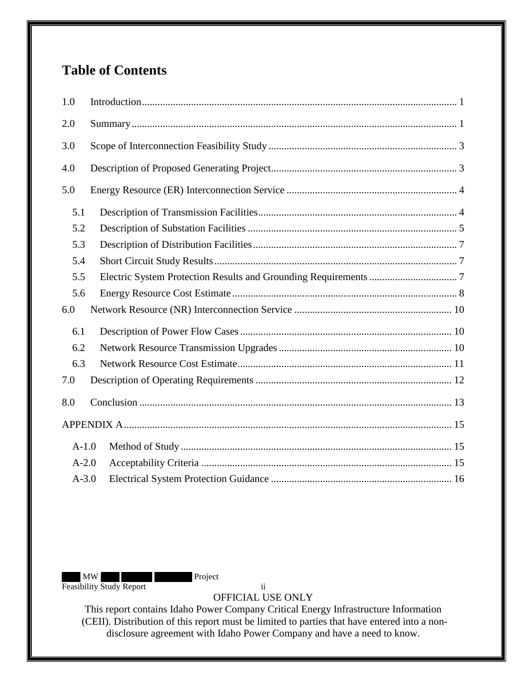# **Table of Contents**

| 1.0       |  |  |  |  |  |
|-----------|--|--|--|--|--|
| 2.0       |  |  |  |  |  |
| 3.0       |  |  |  |  |  |
| 4.0       |  |  |  |  |  |
| 5.0       |  |  |  |  |  |
| 5.1       |  |  |  |  |  |
| 5.2       |  |  |  |  |  |
| 5.3       |  |  |  |  |  |
| 5.4       |  |  |  |  |  |
| 5.5       |  |  |  |  |  |
| 5.6       |  |  |  |  |  |
| 6.0       |  |  |  |  |  |
| 6.1       |  |  |  |  |  |
| 6.2       |  |  |  |  |  |
| 6.3       |  |  |  |  |  |
| 7.0       |  |  |  |  |  |
| 8.0       |  |  |  |  |  |
|           |  |  |  |  |  |
| $A-1.0$   |  |  |  |  |  |
| $A-2.0$   |  |  |  |  |  |
| $A - 3.0$ |  |  |  |  |  |

MW Project Feasibility Study Report ii

OFFICIAL USE ONLY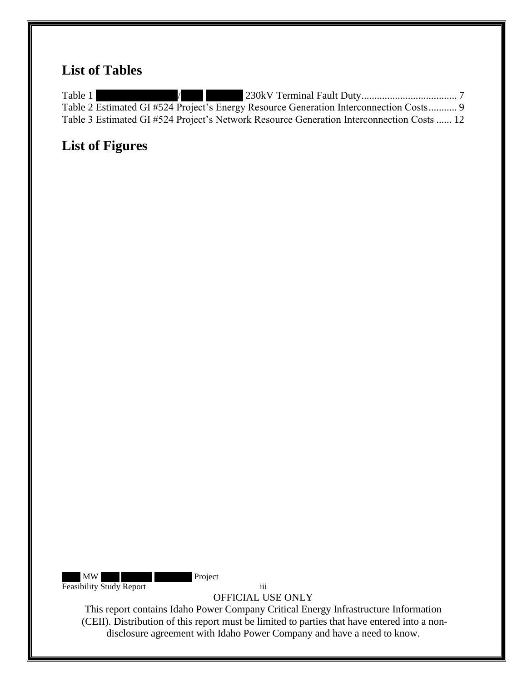# **List of Tables**

Table 1 1 [Table 2 Estimated GI #524 Project's Energy Resource Generation Interconnection Costs...........](#page-12-0) 9 [Table 3 Estimated GI #524 Project's Network Resource Generation Interconnection Costs](#page-15-1) ...... 12

# **List of Figures**

MW Project Feasibility Study Report iii

OFFICIAL USE ONLY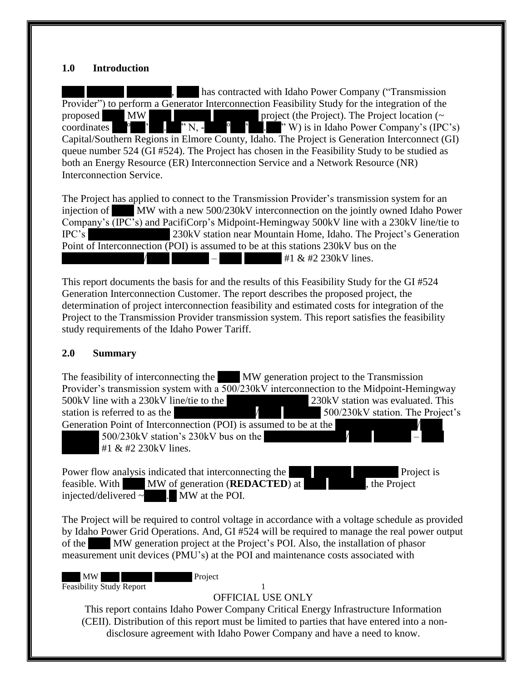#### <span id="page-4-0"></span>**1.0 Introduction**

has contracted with Idaho Power Company ("Transmission" Provider") to perform a Generator Interconnection Feasibility Study for the integration of the proposed XXX MW XXX XXXXX XXXXXX project (the Project). The Project location (~ coordinates XX<sup>o</sup>XX'XX.XX" N, -XXX<sup>o</sup>XX'XX.XX" W) is in Idaho Power Company's (IPC's) Capital/Southern Regions in Elmore County, Idaho. The Project is Generation Interconnect (GI) queue number 524 (GI #524). The Project has chosen in the Feasibility Study to be studied as both an Energy Resource (ER) Interconnection Service and a Network Resource (NR) Interconnection Service.

The Project has applied to connect to the Transmission Provider's transmission system for an injection of MW with a new 500/230kV interconnection on the jointly owned Idaho Power Company's (IPC's) and PacifiCorp's Midpoint-Hemingway 500kV line with a 230kV line/tie to IPC's 230kV station near Mountain Home, Idaho. The Project's Generation Point of Interconnection (POI) is assumed to be at this stations 230kV bus on the  $\frac{1}{1}$   $\frac{1}{1}$  & #2 230kV lines.

This report documents the basis for and the results of this Feasibility Study for the GI #524 Generation Interconnection Customer. The report describes the proposed project, the determination of project interconnection feasibility and estimated costs for integration of the Project to the Transmission Provider transmission system. This report satisfies the feasibility study requirements of the Idaho Power Tariff.

#### <span id="page-4-1"></span>**2.0 Summary**

The feasibility of interconnecting the XXX MW generation project to the Transmission Provider's transmission system with a 500/230kV interconnection to the Midpoint-Hemingway 500kV line with a 230kV line/tie to the  $\frac{230kV}{230kV}$  station was evaluated. This station is referred to as the  $\overline{X}$  XXXXXXXXX  $\overline{X}$  500/230kV station. The Project's Generation Point of Interconnection (POI) is assumed to be at the  $500/230$ kV station's 230kV bus on the #1  $& 42.230kV$  lines.

Power flow analysis indicated that interconnecting the XXX Project is feasible. With MW of generation (**REDACTED**) at the Project injected/delivered  $\sim$  MW at the POI.

The Project will be required to control voltage in accordance with a voltage schedule as provided by Idaho Power Grid Operations. And, GI #524 will be required to manage the real power output of the MW generation project at the Project's POI. Also, the installation of phasor measurement unit devices (PMU's) at the POI and maintenance costs associated with

MW Project Feasibility Study Report 1

OFFICIAL USE ONLY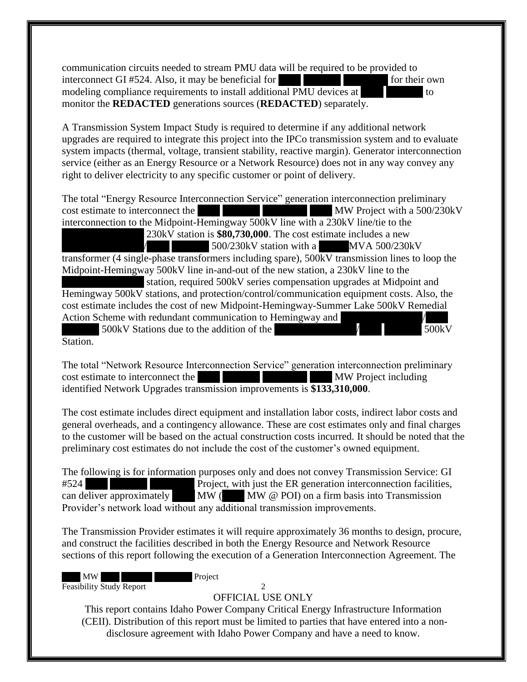communication circuits needed to stream PMU data will be required to be provided to interconnect GI  $#524$ . Also, it may be beneficial for  $\sim$  XXX for their own modeling compliance requirements to install additional PMU devices at XXX to to monitor the **REDACTED** generations sources (**REDACTED**) separately.

A Transmission System Impact Study is required to determine if any additional network upgrades are required to integrate this project into the IPCo transmission system and to evaluate system impacts (thermal, voltage, transient stability, reactive margin). Generator interconnection service (either as an Energy Resource or a Network Resource) does not in any way convey any right to deliver electricity to any specific customer or point of delivery.

The total "Energy Resource Interconnection Service" generation interconnection preliminary cost estimate to interconnect the XXX XXX XXX MW Project with a 500/230kV interconnection to the Midpoint-Hemingway 500kV line with a 230kV line/tie to the 230kV station is **\$80,730,000**. The cost estimate includes a new  $X/500/230$ kV station with a MVA 500/230kV transformer (4 single-phase transformers including spare), 500kV transmission lines to loop the Midpoint-Hemingway 500kV line in-and-out of the new station, a 230kV line to the station, required 500kV series compensation upgrades at Midpoint and Hemingway 500kV stations, and protection/control/communication equipment costs. Also, the cost estimate includes the cost of new Midpoint-Hemingway-Summer Lake 500kV Remedial Action Scheme with redundant communication to Hemingway and XXXXX 500kV Stations due to the addition of the XXXXXXXXXXX/XXX XXXXX 500kV

Station.

The total "Network Resource Interconnection Service" generation interconnection preliminary cost estimate to interconnect the XXX XXX XXX MW Project including identified Network Upgrades transmission improvements is **\$133,310,000**.

The cost estimate includes direct equipment and installation labor costs, indirect labor costs and general overheads, and a contingency allowance. These are cost estimates only and final charges to the customer will be based on the actual construction costs incurred. It should be noted that the preliminary cost estimates do not include the cost of the customer's owned equipment.

The following is for information purposes only and does not convey Transmission Service: GI #524 Project, with just the ER generation interconnection facilities, can deliver approximately  $\mathbf{M}\mathbf{W}$  ( $\mathbf{M}\mathbf{W}$   $\emptyset$  POI) on a firm basis into Transmission Provider's network load without any additional transmission improvements.

The Transmission Provider estimates it will require approximately 36 months to design, procure, and construct the facilities described in both the Energy Resource and Network Resource sections of this report following the execution of a Generation Interconnection Agreement. The

MW Project Feasibility Study Report 2

## OFFICIAL USE ONLY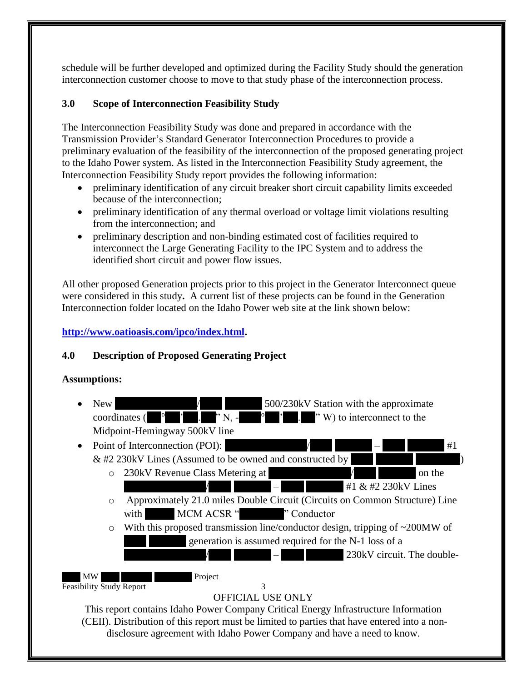schedule will be further developed and optimized during the Facility Study should the generation interconnection customer choose to move to that study phase of the interconnection process.

## <span id="page-6-0"></span>**3.0 Scope of Interconnection Feasibility Study**

The Interconnection Feasibility Study was done and prepared in accordance with the Transmission Provider's Standard Generator Interconnection Procedures to provide a preliminary evaluation of the feasibility of the interconnection of the proposed generating project to the Idaho Power system. As listed in the Interconnection Feasibility Study agreement, the Interconnection Feasibility Study report provides the following information:

- preliminary identification of any circuit breaker short circuit capability limits exceeded because of the interconnection;
- preliminary identification of any thermal overload or voltage limit violations resulting from the interconnection; and
- preliminary description and non-binding estimated cost of facilities required to interconnect the Large Generating Facility to the IPC System and to address the identified short circuit and power flow issues.

All other proposed Generation projects prior to this project in the Generator Interconnect queue were considered in this study**.** A current list of these projects can be found in the Generation Interconnection folder located on the Idaho Power web site at the link shown below:

## **[http://www.oatioasis.com/ipco/index.html.](http://www.oatioasis.com/ipco/index.html)**

## <span id="page-6-1"></span>**4.0 Description of Proposed Generating Project**

### **Assumptions:**

- New  $\angle$  XXXXXXXXXXXXX is the approximate coordinates ( $\overline{X}$ ,  $\overline{X}$ ,  $\overline{X}$ ,  $\overline{X}$ ,  $\overline{X}$ ,  $\overline{Y}$   $\overline{X}$ ,  $\overline{Y}$   $\overline{Y}$ ) to interconnect to the Midpoint-Hemingway 500kV line
- Point of Interconnection (POI):  $\angle$  /  $\angle$  +1  $&$  #2 230kV Lines (Assumed to be owned and constructed by
	- $\circ$  230kV Revenue Class Metering at  $\qquad \qquad \qquad \qquad$  on the  $+1 \& #2 230 \text{kV}$  Lines
		- o Approximately 21.0 miles Double Circuit (Circuits on Common Structure) Line with MCM ACSR "XXXX" Conductor
		- o With this proposed transmission line/conductor design, tripping of ~200MW of generation is assumed required for the N-1 loss of a
			- $\sim$  230kV circuit. The double-

MW Project Feasibility Study Report 3

## OFFICIAL USE ONLY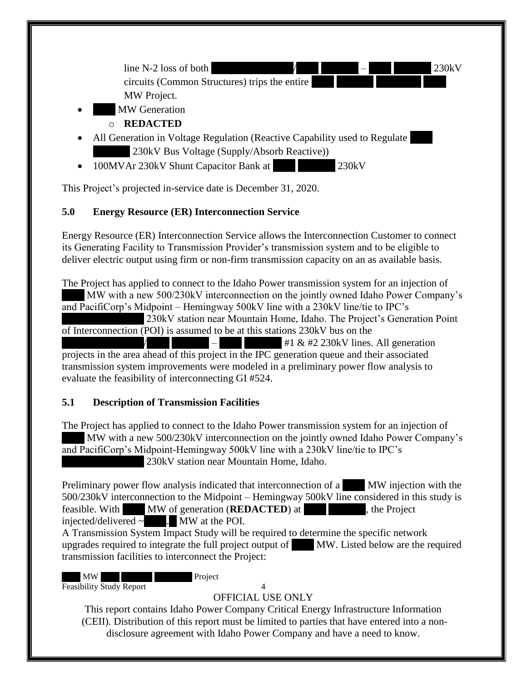

This Project's projected in-service date is December 31, 2020.

## <span id="page-7-0"></span>**5.0 Energy Resource (ER) Interconnection Service**

Energy Resource (ER) Interconnection Service allows the Interconnection Customer to connect its Generating Facility to Transmission Provider's transmission system and to be eligible to deliver electric output using firm or non-firm transmission capacity on an as available basis.

The Project has applied to connect to the Idaho Power transmission system for an injection of MW with a new 500/230kV interconnection on the jointly owned Idaho Power Company's and PacifiCorp's Midpoint – Hemingway 500kV line with a 230kV line/tie to IPC's 230kV station near Mountain Home, Idaho. The Project's Generation Point of Interconnection (POI) is assumed to be at this stations 230kV bus on the  $\#1 \& #2 230 \text{kV}$  lines. All generation projects in the area ahead of this project in the IPC generation queue and their associated transmission system improvements were modeled in a preliminary power flow analysis to evaluate the feasibility of interconnecting GI #524.

## <span id="page-7-1"></span>**5.1 Description of Transmission Facilities**

The Project has applied to connect to the Idaho Power transmission system for an injection of MW with a new 500/230kV interconnection on the jointly owned Idaho Power Company's and PacifiCorp's Midpoint-Hemingway 500kV line with a 230kV line/tie to IPC's 230kV station near Mountain Home, Idaho.

Preliminary power flow analysis indicated that interconnection of a MW injection with the 500/230kV interconnection to the Midpoint – Hemingway 500kV line considered in this study is feasible. With MW of generation (**REDACTED**) at the Project injected/delivered  $\sim$  MW at the POI. A Transmission System Impact Study will be required to determine the specific network upgrades required to integrate the full project output of  $\blacksquare$  MW. Listed below are the required

transmission facilities to interconnect the Project:

MW Project Feasibility Study Report 4

## OFFICIAL USE ONLY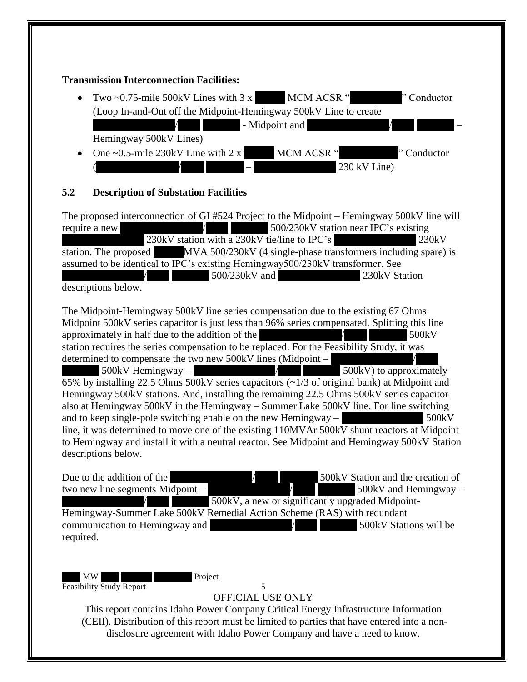#### **Transmission Interconnection Facilities:**

- Two  $\sim$ 0.75-mile 500kV Lines with 3 x MCM ACSR "X" Conductor (Loop In-and-Out off the Midpoint-Hemingway 500kV Line to create  $\blacksquare$  - Midpoint and Hemingway 500kV Lines)
- One  $\sim$  0.5-mile 230kV Line with 2 x MCM ACSR "X" Conductor  $230 \text{ kV}$  Line)

## <span id="page-8-0"></span>**5.2 Description of Substation Facilities**

The proposed interconnection of GI #524 Project to the Midpoint – Hemingway 500kV line will require a new  $\frac{1}{\sqrt{1.500/230kV}}$  station near IPC's existing  $230kV$  station with a  $230kV$  tie/line to IPC's  $230kV$ station. The proposed MVA 500/230kV (4 single-phase transformers including spare) is assumed to be identical to IPC's existing Hemingway500/230kV transformer. See  $300/230$ kV and  $230$ kV Station

descriptions below.

The Midpoint-Hemingway 500kV line series compensation due to the existing 67 Ohms Midpoint 500kV series capacitor is just less than 96% series compensated. Splitting this line approximately in half due to the addition of the  $\overline{X}$  XXX  $\overline{X}$  500kV station requires the series compensation to be replaced. For the Feasibility Study, it was determined to compensate the two new  $500kV$  lines (Midpoint –  $X = \begin{cases} 500 \text{kV} & \text{Hemingway} \\ 500 \text{kV} & \text{to approximately} \end{cases}$  $\overline{65\%}$  by installing 22.5 Ohms 500kV series capacitors ( $\sim$ 1/3 of original bank) at Midpoint and Hemingway 500kV stations. And, installing the remaining 22.5 Ohms 500kV series capacitor also at Hemingway 500kV in the Hemingway – Summer Lake 500kV line. For line switching and to keep single-pole switching enable on the new Hemingway  $500kV$ line, it was determined to move one of the existing 110MVAr 500kV shunt reactors at Midpoint to Hemingway and install it with a neutral reactor. See Midpoint and Hemingway 500kV Station descriptions below.

Due to the addition of the  $\frac{1}{2}$  XXXXX Station and the creation of two new line segments Midpoint –  $\frac{1}{2}$  XXXXXX and Hemingway – 500kV, a new or significantly upgraded Midpoint-Hemingway-Summer Lake 500kV Remedial Action Scheme (RAS) with redundant communication to Hemingway and  $\overline{X}$   $\overline{X}$  500kV Stations will be required.

MW Project Feasibility Study Report 5

OFFICIAL USE ONLY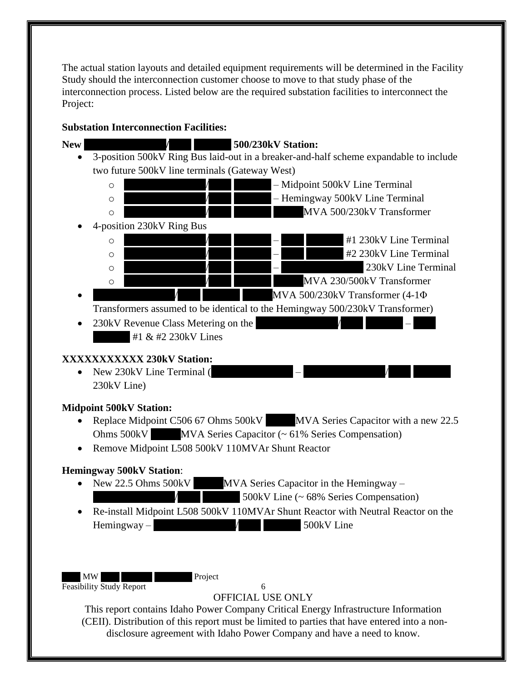The actual station layouts and detailed equipment requirements will be determined in the Facility Study should the interconnection customer choose to move to that study phase of the interconnection process. Listed below are the required substation facilities to interconnect the Project:

## **Substation Interconnection Facilities:**

MW Project Feasibility Study Report 6 OFFICIAL USE ONLY This report contains Idaho Power Company Critical Energy Infrastructure Information (CEII). Distribution of this report must be limited to parties that have entered into a nondisclosure agreement with Idaho Power Company and have a need to know. **New XXXXXXXXXXX/XXX XXXXX 500/230kV Station:** • 3-position 500kV Ring Bus laid-out in a breaker-and-half scheme expandable to include two future 500kV line terminals (Gateway West) o XXXXXXXXXXX/XXX XXXXX – Midpoint 500kV Line Terminal  $\sqrt{\phantom{a}}$  – Hemingway 500kV Line Terminal o XXXXXXXXXXX/XXX XXXXX XXXXMVA 500/230kV Transformer • 4-position 230kV Ring Bus  $\sqrt{$  –  $\frac{1}{x}$  +1 230kV Line Terminal  $\sqrt{230kV}$  and  $\sqrt{4}$  and  $\sqrt{4}$  and  $\sqrt{4}$  and  $\sqrt{4}$  and  $\sqrt{4}$  and  $\sqrt{4}$  and  $\sqrt{4}$  and  $\sqrt{4}$  and  $\sqrt{4}$  and  $\sqrt{4}$  and  $\sqrt{4}$  and  $\sqrt{4}$  and  $\sqrt{4}$  and  $\sqrt{4}$  and  $\sqrt{4}$  and  $\sqrt{4}$  and  $\sqrt{4}$  and  $\sqrt{230kV}$  –  $\sqrt{230kV}$  230kV Line Terminal o XXXXXXXXXXX/XXX XXXXX XXXXMVA 230/500kV Transformer  $MVA$  500/230kV Transformer (4-1 $\Phi$ Transformers assumed to be identical to the Hemingway 500/230kV Transformer) • 230kV Revenue Class Metering on the  $#1 & 42 230$ kV Lines **XXXXXXXXXXX 230kV Station:** • New  $230kV$  Line Terminal ( 230kV Line) **Midpoint 500kV Station:** • Replace Midpoint C506 67 Ohms 500kV MVA Series Capacitor with a new 22.5 Ohms 500kV MVA Series Capacitor (~ 61% Series Compensation) • Remove Midpoint L508 500kV 110MVAr Shunt Reactor **Hemingway 500kV Station**: • New 22.5 Ohms  $500kV$  MVA Series Capacitor in the Hemingway –  $\frac{1}{\sqrt{1-\frac{1}{\sqrt{1-\frac{1}{\sqrt{1-\frac{1}{\sqrt{1-\frac{1}{\sqrt{1-\frac{1}{\sqrt{1-\frac{1}{\sqrt{1-\frac{1}{\sqrt{1-\frac{1}{\sqrt{1-\frac{1}{\sqrt{1-\frac{1}{\sqrt{1-\frac{1}{\sqrt{1-\frac{1}{\sqrt{1-\frac{1}{\sqrt{1-\frac{1}{\sqrt{1-\frac{1}{\sqrt{1-\frac{1}{\sqrt{1-\frac{1}{\sqrt{1-\frac{1}{\sqrt{1-\frac{1}{\sqrt{1-\frac{1}{\sqrt{1-\frac{1}{\sqrt{1-\frac{1}{\sqrt{1-\frac{1}{\sqrt{1-\frac{1$ • Re-install Midpoint L508 500kV 110MVAr Shunt Reactor with Neutral Reactor on the  $H$ emingway –  $\frac{1}{\sqrt{3}}$  /  $\frac{1}{\sqrt{3}}$  500kV Line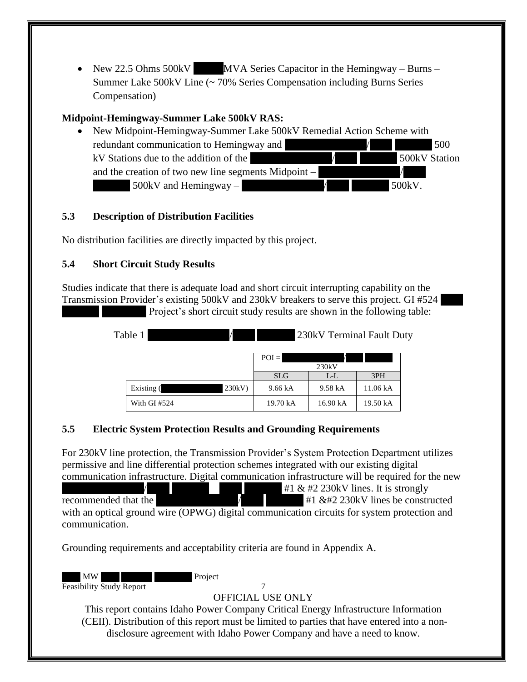• New 22.5 Ohms  $500kV$  MVA Series Capacitor in the Hemingway – Burns – Summer Lake 500kV Line (~ 70% Series Compensation including Burns Series Compensation)

## **Midpoint-Hemingway-Summer Lake 500kV RAS:**

• New Midpoint-Hemingway-Summer Lake 500kV Remedial Action Scheme with redundant communication to Hemingway and  $\sim$   $\frac{1}{2}$   $\frac{1}{2}$  500 kV Stations due to the addition of the  $\overline{X}$   $\overline{X}$   $\overline{X}$  500kV Station and the creation of two new line segments Midpoint  $500kV$  and Hemingway –  $\overline{X}$  /  $\overline{X}$  500kV.

## <span id="page-10-0"></span>**5.3 Description of Distribution Facilities**

No distribution facilities are directly impacted by this project.

## <span id="page-10-1"></span>**5.4 Short Circuit Study Results**

<span id="page-10-3"></span>Studies indicate that there is adequate load and short circuit interrupting capability on the Transmission Provider's existing 500kV and 230kV breakers to serve this project. GI #524

Project's short circuit study results are shown in the following table:

| Table 1 |                |       | 230kV Terminal Fault Duty |          |          |  |
|---------|----------------|-------|---------------------------|----------|----------|--|
|         |                |       | $POI =$                   | 230kV    |          |  |
|         |                |       | <b>SLG</b>                | $L-L$    | 3PH      |  |
|         | Existing (     | 230kV | 9.66 kA                   | 9.58 kA  | 11.06 kA |  |
|         | With GI $#524$ |       | 19.70 kA                  | 16.90 kA | 19.50 kA |  |

## <span id="page-10-2"></span>**5.5 Electric System Protection Results and Grounding Requirements**

For 230kV line protection, the Transmission Provider's System Protection Department utilizes permissive and line differential protection schemes integrated with our existing digital communication infrastructure. Digital communication infrastructure will be required for the new  $\begin{array}{|c|c|c|c|c|}\n\hline\n\hline\n\hline\n\end{array}$  +1 & #2 230kV lines. It is strongly recommended that the  $\overline{X}$  /  $\overline{X}$  +1  $\&$  #2 230kV lines be constructed with an optical ground wire (OPWG) digital communication circuits for system protection and communication.

Grounding requirements and acceptability criteria are found in Appendix A.

MW Project Feasibility Study Report 7

## OFFICIAL USE ONLY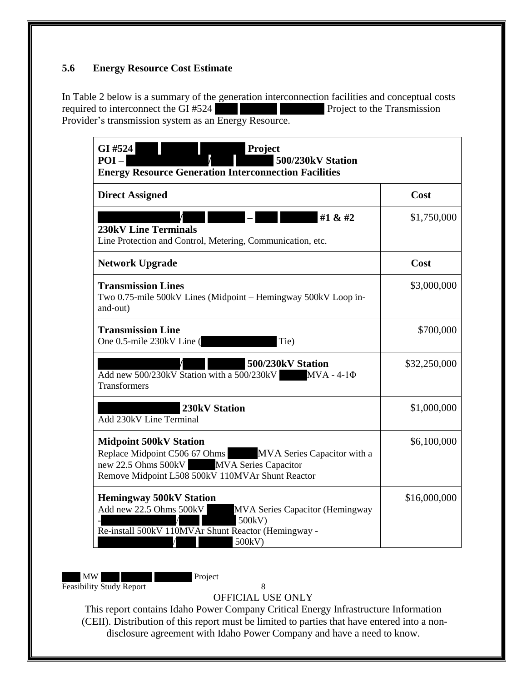## <span id="page-11-0"></span>**5.6 Energy Resource Cost Estimate**

In Table 2 below is a summary of the generation interconnection facilities and conceptual costs required to interconnect the GI #524 Project to the Transmission Provider's transmission system as an Energy Resource.

| <b>Direct Assigned</b>                                                                                                                                                                     | Cost         |
|--------------------------------------------------------------------------------------------------------------------------------------------------------------------------------------------|--------------|
| #1 & #2<br><b>230kV Line Terminals</b><br>Line Protection and Control, Metering, Communication, etc.                                                                                       | \$1,750,000  |
| <b>Network Upgrade</b>                                                                                                                                                                     | Cost         |
| <b>Transmission Lines</b><br>Two 0.75-mile 500kV Lines (Midpoint – Hemingway 500kV Loop in-<br>and-out)                                                                                    | \$3,000,000  |
| <b>Transmission Line</b><br>One 0.5-mile 230kV Line (<br>Tie)                                                                                                                              | \$700,000    |
| 500/230kV Station<br>Add new $500/230$ kV Station with a $500/230$ kV MVA - 4-1 $\Phi$<br>Transformers                                                                                     | \$32,250,000 |
| 230kV Station<br>Add 230kV Line Terminal                                                                                                                                                   | \$1,000,000  |
| <b>Midpoint 500kV Station</b><br>Replace Midpoint C506 67 Ohms MVA Series Capacitor with a<br>new 22.5 Ohms 500kV MVA Series Capacitor<br>Remove Midpoint L508 500kV 110MVAr Shunt Reactor | \$6,100,000  |
| <b>Hemingway 500kV Station</b><br>Add new 22.5 Ohms 500kV<br><b>MVA Series Capacitor (Hemingway</b><br>500kV)<br>Re-install 500kV 110MVAr Shunt Reactor (Hemingway -<br>500kV)             | \$16,000,000 |

MW Project Feasibility Study Report 8

OFFICIAL USE ONLY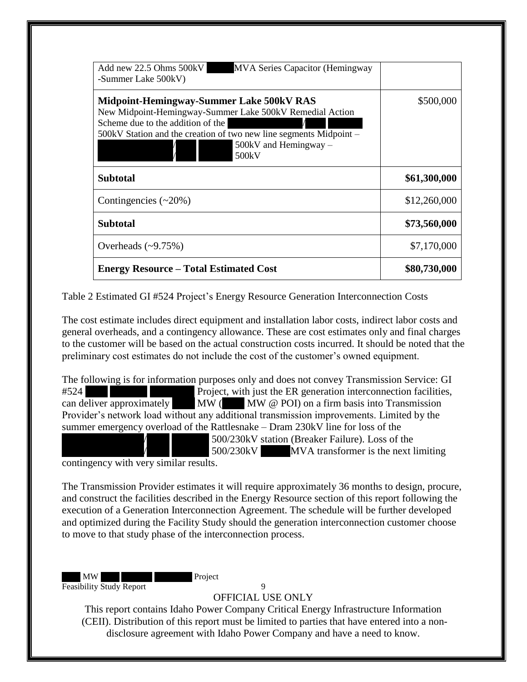| Add new 22.5 Ohms 500kV<br><b>MVA Series Capacitor (Hemingway</b><br>-Summer Lake 500kV)                                                                                                                                                          |              |
|---------------------------------------------------------------------------------------------------------------------------------------------------------------------------------------------------------------------------------------------------|--------------|
| Midpoint-Hemingway-Summer Lake 500kV RAS<br>New Midpoint-Hemingway-Summer Lake 500kV Remedial Action<br>Scheme due to the addition of the<br>500kV Station and the creation of two new line segments Midpoint –<br>500kV and Hemingway -<br>500kV | \$500,000    |
| Subtotal                                                                                                                                                                                                                                          | \$61,300,000 |
| Contingencies $(\sim 20\%)$                                                                                                                                                                                                                       | \$12,260,000 |
| <b>Subtotal</b>                                                                                                                                                                                                                                   | \$73,560,000 |
| Overheads $(-9.75%)$                                                                                                                                                                                                                              | \$7,170,000  |
| <b>Energy Resource – Total Estimated Cost</b>                                                                                                                                                                                                     | \$80,730,000 |

<span id="page-12-0"></span>Table 2 Estimated GI #524 Project's Energy Resource Generation Interconnection Costs

The cost estimate includes direct equipment and installation labor costs, indirect labor costs and general overheads, and a contingency allowance. These are cost estimates only and final charges to the customer will be based on the actual construction costs incurred. It should be noted that the preliminary cost estimates do not include the cost of the customer's owned equipment.

The following is for information purposes only and does not convey Transmission Service: GI #524 Project, with just the ER generation interconnection facilities, can deliver approximately  $\mathbf{M}\mathbf{W}$  ( $\mathbf{M}\mathbf{W}$   $\emptyset$  POI) on a firm basis into Transmission Provider's network load without any additional transmission improvements. Limited by the summer emergency overload of the Rattlesnake – Dram 230kV line for loss of the  $500/230$ kV station (Breaker Failure). Loss of the  $500/230$ kV MVA transformer is the next limiting

contingency with very similar results.

The Transmission Provider estimates it will require approximately 36 months to design, procure, and construct the facilities described in the Energy Resource section of this report following the execution of a Generation Interconnection Agreement. The schedule will be further developed and optimized during the Facility Study should the generation interconnection customer choose to move to that study phase of the interconnection process.

MW Project Feasibility Study Report 9

OFFICIAL USE ONLY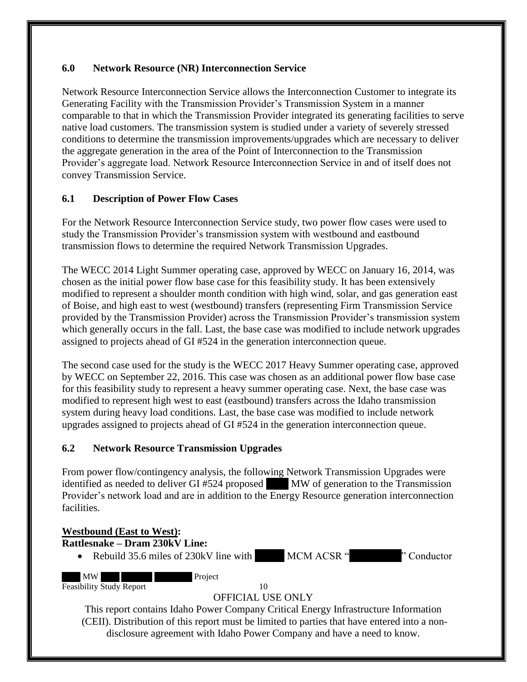### <span id="page-13-0"></span>**6.0 Network Resource (NR) Interconnection Service**

Network Resource Interconnection Service allows the Interconnection Customer to integrate its Generating Facility with the Transmission Provider's Transmission System in a manner comparable to that in which the Transmission Provider integrated its generating facilities to serve native load customers. The transmission system is studied under a variety of severely stressed conditions to determine the transmission improvements/upgrades which are necessary to deliver the aggregate generation in the area of the Point of Interconnection to the Transmission Provider's aggregate load. Network Resource Interconnection Service in and of itself does not convey Transmission Service.

### <span id="page-13-1"></span>**6.1 Description of Power Flow Cases**

For the Network Resource Interconnection Service study, two power flow cases were used to study the Transmission Provider's transmission system with westbound and eastbound transmission flows to determine the required Network Transmission Upgrades.

The WECC 2014 Light Summer operating case, approved by WECC on January 16, 2014, was chosen as the initial power flow base case for this feasibility study. It has been extensively modified to represent a shoulder month condition with high wind, solar, and gas generation east of Boise, and high east to west (westbound) transfers (representing Firm Transmission Service provided by the Transmission Provider) across the Transmission Provider's transmission system which generally occurs in the fall. Last, the base case was modified to include network upgrades assigned to projects ahead of GI #524 in the generation interconnection queue.

The second case used for the study is the WECC 2017 Heavy Summer operating case, approved by WECC on September 22, 2016. This case was chosen as an additional power flow base case for this feasibility study to represent a heavy summer operating case. Next, the base case was modified to represent high west to east (eastbound) transfers across the Idaho transmission system during heavy load conditions. Last, the base case was modified to include network upgrades assigned to projects ahead of GI #524 in the generation interconnection queue.

### <span id="page-13-2"></span>**6.2 Network Resource Transmission Upgrades**

From power flow/contingency analysis, the following Network Transmission Upgrades were identified as needed to deliver GI #524 proposed MW of generation to the Transmission Provider's network load and are in addition to the Energy Resource generation interconnection facilities.

## MW Project Feasibility Study Report 10 OFFICIAL USE ONLY This report contains Idaho Power Company Critical Energy Infrastructure Information (CEII). Distribution of this report must be limited to parties that have entered into a nondisclosure agreement with Idaho Power Company and have a need to know. **Westbound (East to West): Rattlesnake – Dram 230kV Line: Rebuild 35.6 miles of 230kV line with MCM ACSR "XXX" Conductor**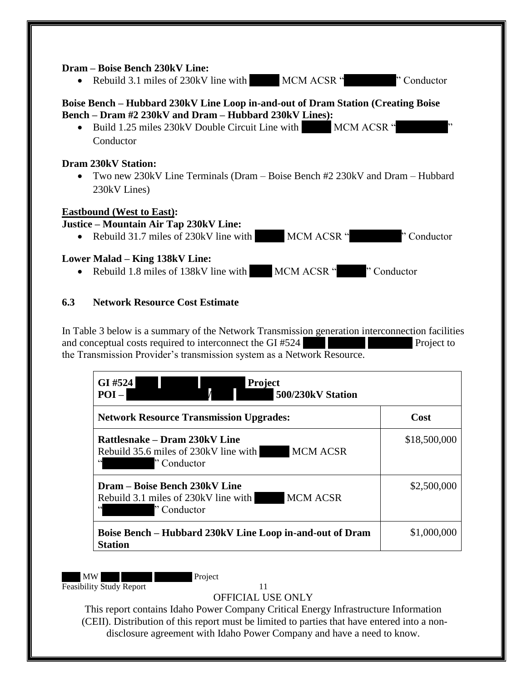#### **Dram – Boise Bench 230kV Line:**

• Rebuild 3.1 miles of 230kV line with MCM ACSR "Y Conductor"

## **Boise Bench – Hubbard 230kV Line Loop in-and-out of Dram Station (Creating Boise Bench – Dram #2 230kV and Dram – Hubbard 230kV Lines):**

• Build 1.25 miles 230kV Double Circuit Line with MCM ACSR " Conductor

#### **Dram 230kV Station:**

• Two new 230kV Line Terminals (Dram – Boise Bench #2 230kV and Dram – Hubbard 230kV Lines)

### **Eastbound (West to East):**

### **Justice – Mountain Air Tap 230kV Line:**

• Rebuild 31.7 miles of 230kV line with MCM ACSR "X" Conductor

### **Lower Malad – King 138kV Line:**

• Rebuild 1.8 miles of 138kV line with MCM ACSR "<sup>y</sup> Conductor

### <span id="page-14-0"></span>**6.3 Network Resource Cost Estimate**

In Table 3 below is a summary of the Network Transmission generation interconnection facilities and conceptual costs required to interconnect the  $GI \#524$   $\Box$  Project to the Transmission Provider's transmission system as a Network Resource.

| <b>Network Resource Transmission Upgrades:</b>                                                            | Cost         |
|-----------------------------------------------------------------------------------------------------------|--------------|
| Rattlesnake – Dram 230kV Line<br><b>MCM ACSR</b><br>Rebuild 35.6 miles of 230 kV line with<br>"Conductor" | \$18,500,000 |
| Dram – Boise Bench 230kV Line<br><b>MCM ACSR</b><br>Rebuild 3.1 miles of 230kV line with<br>"Conductor"   | \$2,500,000  |
| Boise Bench – Hubbard 230kV Line Loop in-and-out of Dram<br><b>Station</b>                                | \$1,000,000  |

MW Project Feasibility Study Report 11

OFFICIAL USE ONLY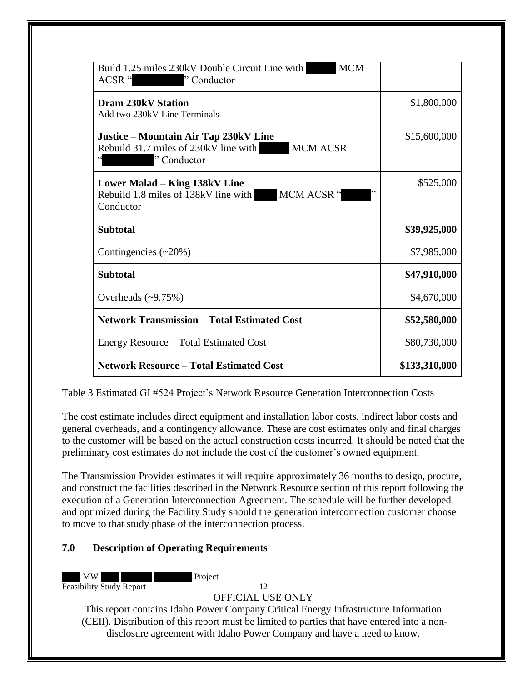| <b>MCM</b><br>Build 1.25 miles 230kV Double Circuit Line with<br>ACSR "<br>"Conductor"                          |               |
|-----------------------------------------------------------------------------------------------------------------|---------------|
| <b>Dram 230kV Station</b><br>Add two 230kV Line Terminals                                                       | \$1,800,000   |
| Justice – Mountain Air Tap 230kV Line<br>Rebuild 31.7 miles of 230kV line with<br><b>MCM ACSR</b><br>"Conductor | \$15,600,000  |
| Lower Malad – King 138kV Line<br>MCM ACSR "<br>Rebuild 1.8 miles of 138kV line with<br>Conductor                | \$525,000     |
| <b>Subtotal</b>                                                                                                 | \$39,925,000  |
| Contingencies $(\sim 20\%)$                                                                                     | \$7,985,000   |
| <b>Subtotal</b>                                                                                                 | \$47,910,000  |
| Overheads $(\sim 9.75\%)$                                                                                       | \$4,670,000   |
| <b>Network Transmission - Total Estimated Cost</b>                                                              | \$52,580,000  |
| Energy Resource – Total Estimated Cost                                                                          | \$80,730,000  |
| <b>Network Resource – Total Estimated Cost</b>                                                                  | \$133,310,000 |

<span id="page-15-1"></span>Table 3 Estimated GI #524 Project's Network Resource Generation Interconnection Costs

The cost estimate includes direct equipment and installation labor costs, indirect labor costs and general overheads, and a contingency allowance. These are cost estimates only and final charges to the customer will be based on the actual construction costs incurred. It should be noted that the preliminary cost estimates do not include the cost of the customer's owned equipment.

The Transmission Provider estimates it will require approximately 36 months to design, procure, and construct the facilities described in the Network Resource section of this report following the execution of a Generation Interconnection Agreement. The schedule will be further developed and optimized during the Facility Study should the generation interconnection customer choose to move to that study phase of the interconnection process.

### <span id="page-15-0"></span>**7.0 Description of Operating Requirements**

MW Project Feasibility Study Report 12

#### OFFICIAL USE ONLY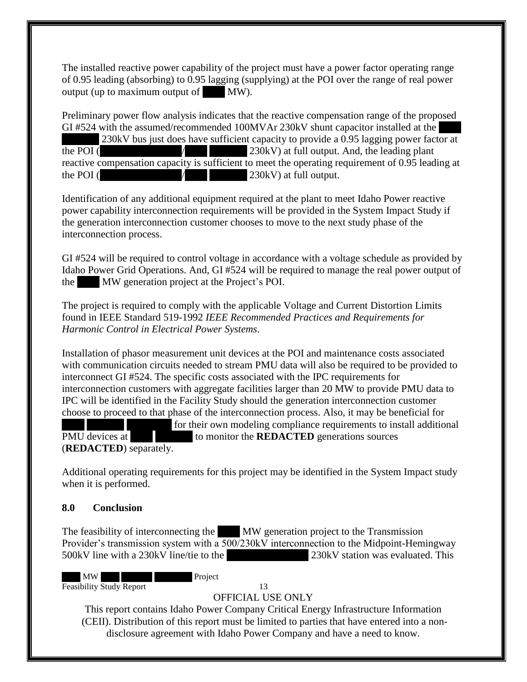The installed reactive power capability of the project must have a power factor operating range of 0.95 leading (absorbing) to 0.95 lagging (supplying) at the POI over the range of real power output (up to maximum output of  $\mathbf{M}\mathbf{W}$ ).

Preliminary power flow analysis indicates that the reactive compensation range of the proposed GI #524 with the assumed/recommended 100MVAr 230kV shunt capacitor installed at the 230kV bus just does have sufficient capacity to provide a 0.95 lagging power factor at the POI ( $\angle$  /  $\angle$  230kV) at full output. And, the leading plant reactive compensation capacity is sufficient to meet the operating requirement of 0.95 leading at the POI ( $\angle$  /  $\angle$  230kV) at full output.

Identification of any additional equipment required at the plant to meet Idaho Power reactive power capability interconnection requirements will be provided in the System Impact Study if the generation interconnection customer chooses to move to the next study phase of the interconnection process.

GI #524 will be required to control voltage in accordance with a voltage schedule as provided by Idaho Power Grid Operations. And, GI #524 will be required to manage the real power output of the MW generation project at the Project's POI.

The project is required to comply with the applicable Voltage and Current Distortion Limits found in IEEE Standard 519-1992 *IEEE Recommended Practices and Requirements for Harmonic Control in Electrical Power Systems*.

Installation of phasor measurement unit devices at the POI and maintenance costs associated with communication circuits needed to stream PMU data will also be required to be provided to interconnect GI #524. The specific costs associated with the IPC requirements for interconnection customers with aggregate facilities larger than 20 MW to provide PMU data to IPC will be identified in the Facility Study should the generation interconnection customer choose to proceed to that phase of the interconnection process. Also, it may be beneficial for for their own modeling compliance requirements to install additional PMU devices at  $\blacksquare$  to monitor the **REDACTED** generations sources (**REDACTED**) separately.

Additional operating requirements for this project may be identified in the System Impact study when it is performed.

### <span id="page-16-0"></span>**8.0 Conclusion**

The feasibility of interconnecting the MW generation project to the Transmission Provider's transmission system with a 500/230kV interconnection to the Midpoint-Hemingway 500kV line with a 230kV line/tie to the  $\overline{230kV}$  station was evaluated. This

MW Project Feasibility Study Report 13

## OFFICIAL USE ONLY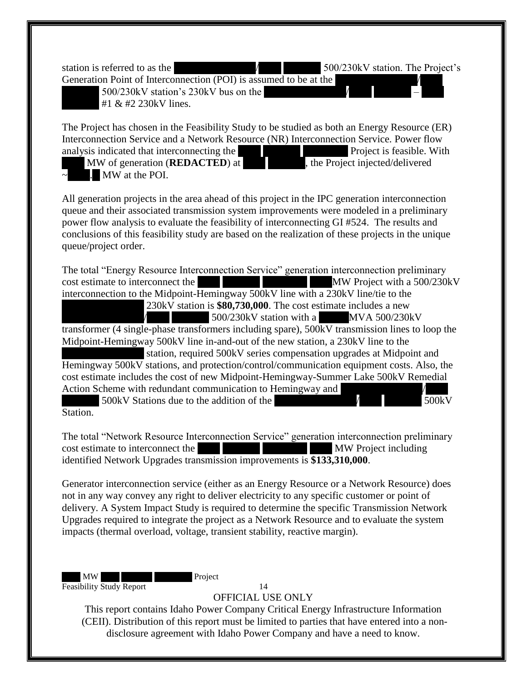station is referred to as the XXXXXXXXXXX/XXX XXXXX 500/230kV station. The Project's

Generation Point of Interconnection (POI) is assumed to be at the  $\vert$  500/230kV station's 230kV bus on the  $\vert$ #1  $&$  #2 230 kV lines.

The Project has chosen in the Feasibility Study to be studied as both an Energy Resource (ER) Interconnection Service and a Network Resource (NR) Interconnection Service. Power flow analysis indicated that interconnecting the XXX XXX Project is feasible. With

MW of generation (**REDACTED**) at  $\blacksquare$ , the Project injected/delivered MW at the POI.

All generation projects in the area ahead of this project in the IPC generation interconnection queue and their associated transmission system improvements were modeled in a preliminary power flow analysis to evaluate the feasibility of interconnecting GI #524. The results and conclusions of this feasibility study are based on the realization of these projects in the unique queue/project order.

The total "Energy Resource Interconnection Service" generation interconnection preliminary cost estimate to interconnect the XXX XXXXX XXXXXX XXXMW Project with a 500/230kV interconnection to the Midpoint-Hemingway 500kV line with a 230kV line/tie to the 230kV station is **\$80,730,000**. The cost estimate includes a new  $500/230$ kV station with a MVA 500/230kV transformer (4 single-phase transformers including spare), 500kV transmission lines to loop the Midpoint-Hemingway 500kV line in-and-out of the new station, a 230kV line to the

station, required 500kV series compensation upgrades at Midpoint and Hemingway 500kV stations, and protection/control/communication equipment costs. Also, the cost estimate includes the cost of new Midpoint-Hemingway-Summer Lake 500kV Remedial Action Scheme with redundant communication to Hemingway and

 $X > 500$ kV Stations due to the addition of the  $X > 500$ kV Station.

The total "Network Resource Interconnection Service" generation interconnection preliminary cost estimate to interconnect the XXX XXX XXX MW Project including identified Network Upgrades transmission improvements is **\$133,310,000**.

Generator interconnection service (either as an Energy Resource or a Network Resource) does not in any way convey any right to deliver electricity to any specific customer or point of delivery. A System Impact Study is required to determine the specific Transmission Network Upgrades required to integrate the project as a Network Resource and to evaluate the system impacts (thermal overload, voltage, transient stability, reactive margin).

MW Project Feasibility Study Report 14

OFFICIAL USE ONLY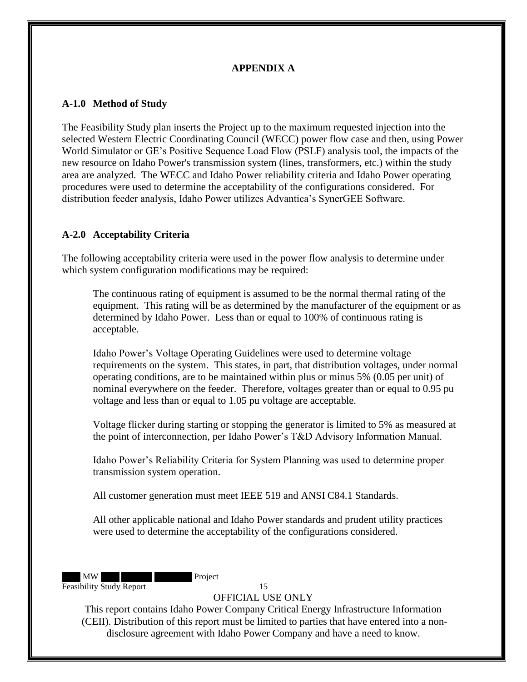## **APPENDIX A**

#### <span id="page-18-1"></span><span id="page-18-0"></span>**A-1.0 Method of Study**

The Feasibility Study plan inserts the Project up to the maximum requested injection into the selected Western Electric Coordinating Council (WECC) power flow case and then, using Power World Simulator or GE's Positive Sequence Load Flow (PSLF) analysis tool, the impacts of the new resource on Idaho Power's transmission system (lines, transformers, etc.) within the study area are analyzed. The WECC and Idaho Power reliability criteria and Idaho Power operating procedures were used to determine the acceptability of the configurations considered. For distribution feeder analysis, Idaho Power utilizes Advantica's SynerGEE Software.

### <span id="page-18-2"></span>**A-2.0 Acceptability Criteria**

The following acceptability criteria were used in the power flow analysis to determine under which system configuration modifications may be required:

The continuous rating of equipment is assumed to be the normal thermal rating of the equipment. This rating will be as determined by the manufacturer of the equipment or as determined by Idaho Power. Less than or equal to 100% of continuous rating is acceptable.

Idaho Power's Voltage Operating Guidelines were used to determine voltage requirements on the system. This states, in part, that distribution voltages, under normal operating conditions, are to be maintained within plus or minus 5% (0.05 per unit) of nominal everywhere on the feeder. Therefore, voltages greater than or equal to 0.95 pu voltage and less than or equal to 1.05 pu voltage are acceptable.

Voltage flicker during starting or stopping the generator is limited to 5% as measured at the point of interconnection, per Idaho Power's T&D Advisory Information Manual.

Idaho Power's Reliability Criteria for System Planning was used to determine proper transmission system operation.

All customer generation must meet IEEE 519 and ANSI C84.1 Standards.

All other applicable national and Idaho Power standards and prudent utility practices were used to determine the acceptability of the configurations considered.

MW Project Feasibility Study Report 15

#### OFFICIAL USE ONLY